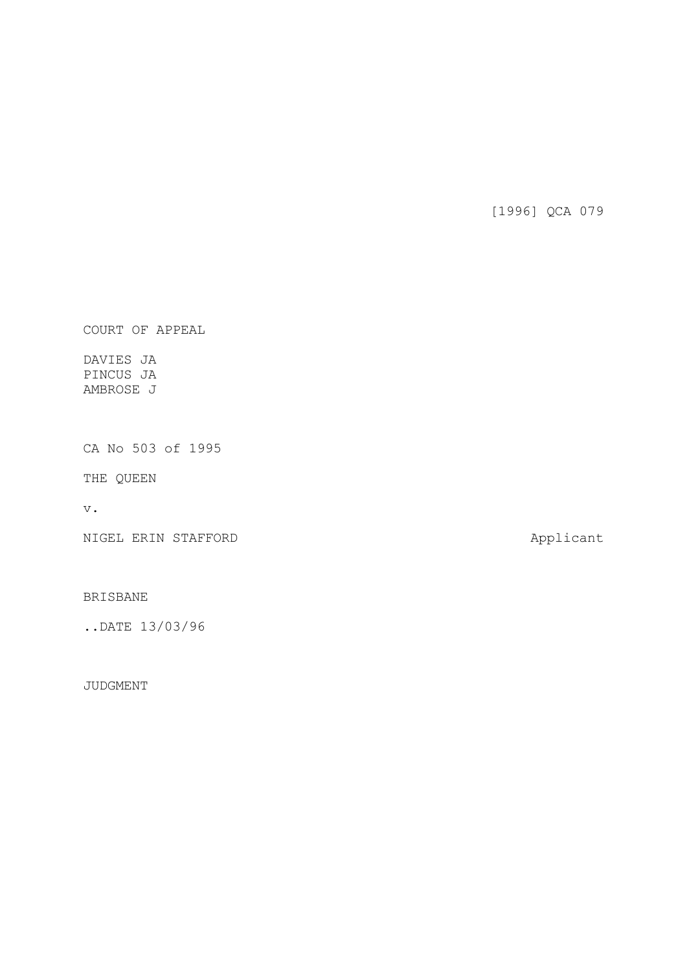[1996] QCA 079

COURT OF APPEAL

DAVIES JA PINCUS JA AMBROSE J

CA No 503 of 1995

THE QUEEN

v.

NIGEL ERIN STAFFORD **Applicant** 

BRISBANE

..DATE 13/03/96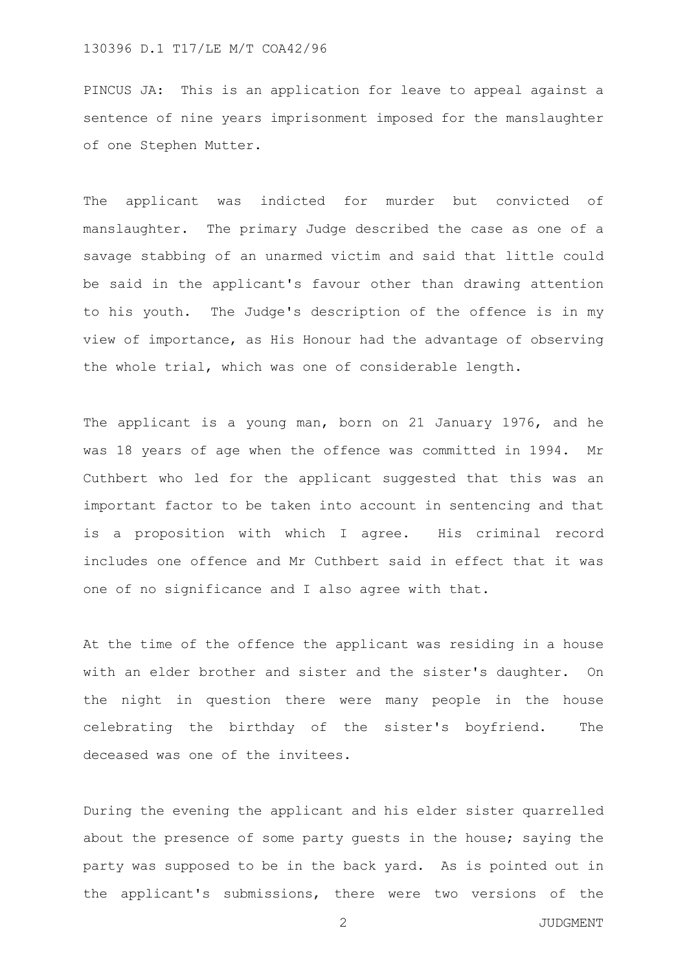PINCUS JA: This is an application for leave to appeal against a sentence of nine years imprisonment imposed for the manslaughter of one Stephen Mutter.

The applicant was indicted for murder but convicted of manslaughter. The primary Judge described the case as one of a savage stabbing of an unarmed victim and said that little could be said in the applicant's favour other than drawing attention to his youth. The Judge's description of the offence is in my view of importance, as His Honour had the advantage of observing the whole trial, which was one of considerable length.

The applicant is a young man, born on 21 January 1976, and he was 18 years of age when the offence was committed in 1994. Mr Cuthbert who led for the applicant suggested that this was an important factor to be taken into account in sentencing and that is a proposition with which I agree. His criminal record includes one offence and Mr Cuthbert said in effect that it was one of no significance and I also agree with that.

At the time of the offence the applicant was residing in a house with an elder brother and sister and the sister's daughter. On the night in question there were many people in the house celebrating the birthday of the sister's boyfriend. The deceased was one of the invitees.

During the evening the applicant and his elder sister quarrelled about the presence of some party guests in the house; saying the party was supposed to be in the back yard. As is pointed out in the applicant's submissions, there were two versions of the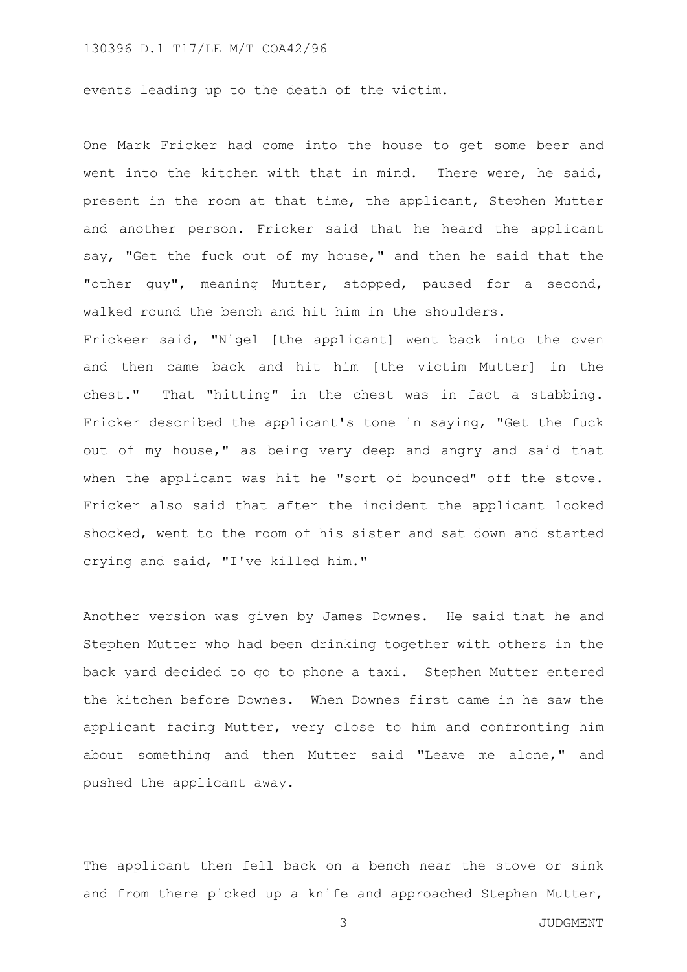events leading up to the death of the victim.

One Mark Fricker had come into the house to get some beer and went into the kitchen with that in mind. There were, he said, present in the room at that time, the applicant, Stephen Mutter and another person. Fricker said that he heard the applicant say, "Get the fuck out of my house," and then he said that the "other guy", meaning Mutter, stopped, paused for a second, walked round the bench and hit him in the shoulders.

Frickeer said, "Nigel [the applicant] went back into the oven and then came back and hit him [the victim Mutter] in the chest." That "hitting" in the chest was in fact a stabbing. Fricker described the applicant's tone in saying, "Get the fuck out of my house," as being very deep and angry and said that when the applicant was hit he "sort of bounced" off the stove. Fricker also said that after the incident the applicant looked shocked, went to the room of his sister and sat down and started crying and said, "I've killed him."

Another version was given by James Downes. He said that he and Stephen Mutter who had been drinking together with others in the back yard decided to go to phone a taxi. Stephen Mutter entered the kitchen before Downes. When Downes first came in he saw the applicant facing Mutter, very close to him and confronting him about something and then Mutter said "Leave me alone," and pushed the applicant away.

The applicant then fell back on a bench near the stove or sink and from there picked up a knife and approached Stephen Mutter,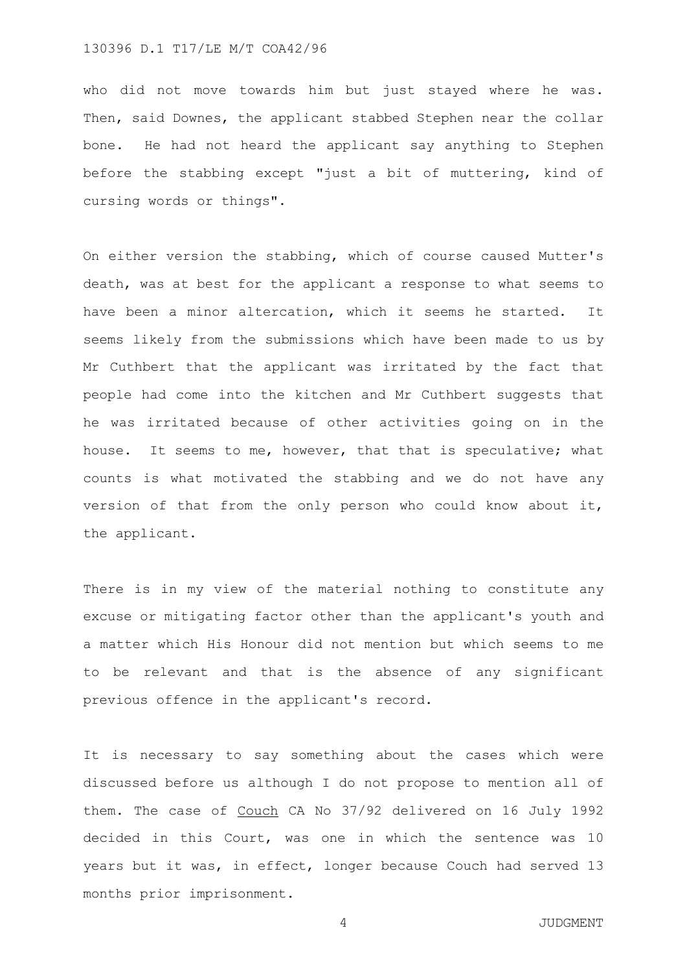who did not move towards him but just stayed where he was. Then, said Downes, the applicant stabbed Stephen near the collar bone. He had not heard the applicant say anything to Stephen before the stabbing except "just a bit of muttering, kind of cursing words or things".

On either version the stabbing, which of course caused Mutter's death, was at best for the applicant a response to what seems to have been a minor altercation, which it seems he started. It seems likely from the submissions which have been made to us by Mr Cuthbert that the applicant was irritated by the fact that people had come into the kitchen and Mr Cuthbert suggests that he was irritated because of other activities going on in the house. It seems to me, however, that that is speculative; what counts is what motivated the stabbing and we do not have any version of that from the only person who could know about it, the applicant.

There is in my view of the material nothing to constitute any excuse or mitigating factor other than the applicant's youth and a matter which His Honour did not mention but which seems to me to be relevant and that is the absence of any significant previous offence in the applicant's record.

It is necessary to say something about the cases which were discussed before us although I do not propose to mention all of them. The case of Couch CA No 37/92 delivered on 16 July 1992 decided in this Court, was one in which the sentence was 10 years but it was, in effect, longer because Couch had served 13 months prior imprisonment.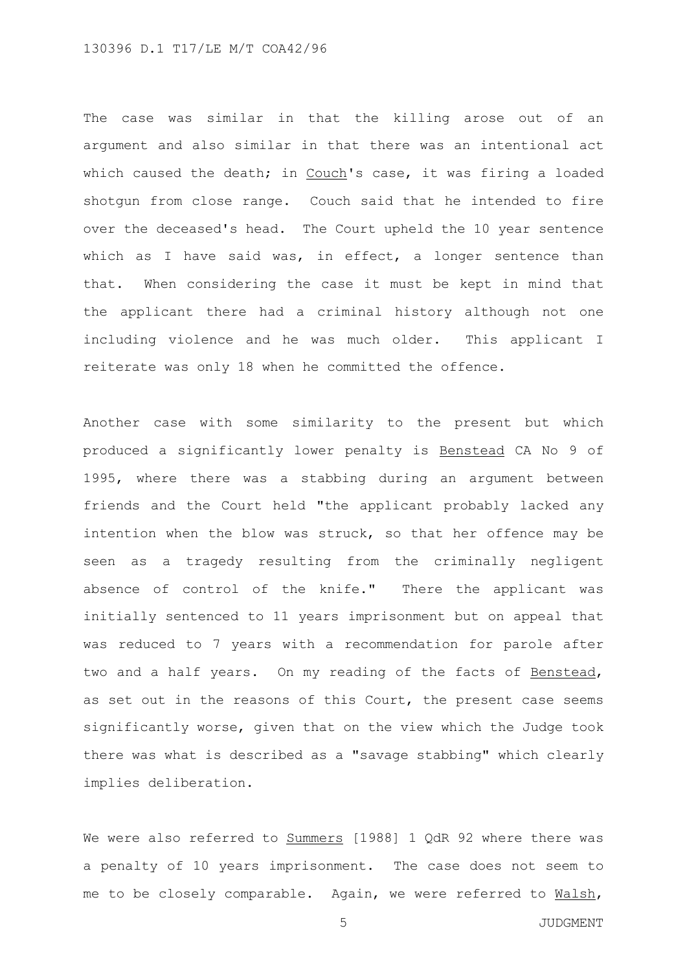The case was similar in that the killing arose out of an argument and also similar in that there was an intentional act which caused the death; in Couch's case, it was firing a loaded shotgun from close range. Couch said that he intended to fire over the deceased's head. The Court upheld the 10 year sentence which as I have said was, in effect, a longer sentence than that. When considering the case it must be kept in mind that the applicant there had a criminal history although not one including violence and he was much older. This applicant I reiterate was only 18 when he committed the offence.

Another case with some similarity to the present but which produced a significantly lower penalty is Benstead CA No 9 of 1995, where there was a stabbing during an argument between friends and the Court held "the applicant probably lacked any intention when the blow was struck, so that her offence may be seen as a tragedy resulting from the criminally negligent absence of control of the knife." There the applicant was initially sentenced to 11 years imprisonment but on appeal that was reduced to 7 years with a recommendation for parole after two and a half years. On my reading of the facts of Benstead, as set out in the reasons of this Court, the present case seems significantly worse, given that on the view which the Judge took there was what is described as a "savage stabbing" which clearly implies deliberation.

We were also referred to Summers [1988] 1 QdR 92 where there was a penalty of 10 years imprisonment. The case does not seem to me to be closely comparable. Again, we were referred to Malsh,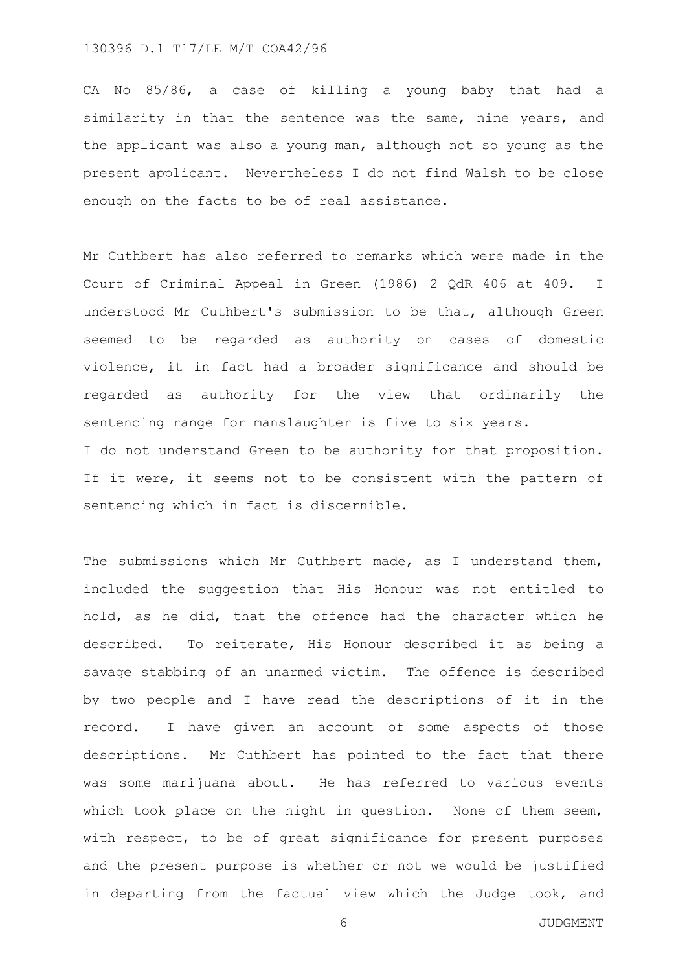CA No 85/86, a case of killing a young baby that had a similarity in that the sentence was the same, nine years, and the applicant was also a young man, although not so young as the present applicant. Nevertheless I do not find Walsh to be close enough on the facts to be of real assistance.

Mr Cuthbert has also referred to remarks which were made in the Court of Criminal Appeal in Green (1986) 2 QdR 406 at 409. I understood Mr Cuthbert's submission to be that, although Green seemed to be regarded as authority on cases of domestic violence, it in fact had a broader significance and should be regarded as authority for the view that ordinarily the sentencing range for manslaughter is five to six years. I do not understand Green to be authority for that proposition. If it were, it seems not to be consistent with the pattern of sentencing which in fact is discernible.

The submissions which Mr Cuthbert made, as I understand them, included the suggestion that His Honour was not entitled to hold, as he did, that the offence had the character which he described. To reiterate, His Honour described it as being a savage stabbing of an unarmed victim. The offence is described by two people and I have read the descriptions of it in the record. I have given an account of some aspects of those descriptions. Mr Cuthbert has pointed to the fact that there was some marijuana about. He has referred to various events which took place on the night in question. None of them seem, with respect, to be of great significance for present purposes and the present purpose is whether or not we would be justified in departing from the factual view which the Judge took, and